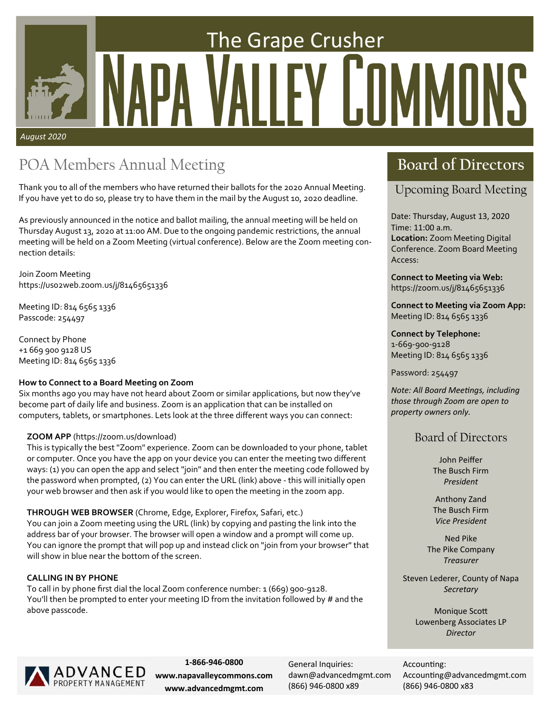# The Grape Crusher Y IT *August 2020*

### POA Members Annual Meeting **Board of Directors**

Thank you to all of the members who have returned their ballots for the 2020 Annual Meeting. If you have yet to do so, please try to have them in the mail by the August 10, 2020 deadline.

As previously announced in the notice and ballot mailing, the annual meeting will be held on Thursday August 13, 2020 at 11:00 AM. Due to the ongoing pandemic restrictions, the annual meeting will be held on a Zoom Meeting (virtual conference). Below are the Zoom meeting connection details:

Join Zoom Meeting https://uso2web.zoom.us/j/81465651336

Meeting ID: 814 6565 1336 Passcode: 254497

Connect by Phone +1 669 900 9128 US Meeting ID: 814 6565 1336

### **How to Connect to a Board Meeting on Zoom**

Six months ago you may have not heard about Zoom or similar applications, but now they've become part of daily life and business. Zoom is an application that can be installed on computers, tablets, or smartphones. Lets look at the three different ways you can connect:

### **ZOOM APP** (https://zoom.us/download)

This is typically the best "Zoom" experience. Zoom can be downloaded to your phone, tablet or computer. Once you have the app on your device you can enter the meeting two different ways: (1) you can open the app and select "join" and then enter the meeting code followed by the password when prompted, (2) You can enter the URL (link) above ‐ this will initially open your web browser and then ask if you would like to open the meeting in the zoom app.

**THROUGH WEB BROWSER** (Chrome, Edge, Explorer, Firefox, Safari, etc.) You can join a Zoom meeting using the URL (link) by copying and pasting the link into the address bar of your browser. The browser will open a window and a prompt will come up. You can ignore the prompt that will pop up and instead click on "join from your browser" that will show in blue near the bottom of the screen.

### **CALLING IN BY PHONE**

To call in by phone first dial the local Zoom conference number: 1 (669) 900‐9128. You'll then be prompted to enter your meeting ID from the invitation followed by # and the above passcode.

### Upcoming Board Meeting

Date: Thursday, August 13, 2020 Time: 11:00 a.m. **Location:** Zoom Meeting Digital Conference. Zoom Board Meeting Access:

**Connect to Meeting via Web:**  https://zoom.us/j/81465651336

**Connect to Meeting via Zoom App:**  Meeting ID: 814 6565 1336

### **Connect by Telephone:**

1‐669‐900‐9128 Meeting ID: 814 6565 1336

Password: 254497

*Note: All Board MeeƟngs, including those through Zoom are open to property owners only.* 

### Board of Directors

John Peiffer The Busch Firm *President* 

Anthony Zand The Busch Firm *Vice President* 

Ned Pike The Pike Company *Treasurer* 

Steven Lederer, County of Napa *Secretary* 

> **Monique Scott** Lowenberg Associates LP *Director*



**1‐866‐946‐0800 www.napavalleycommons.com www.advancedmgmt.com** 

General Inquiries: dawn@advancedmgmt.com (866) 946‐0800 x89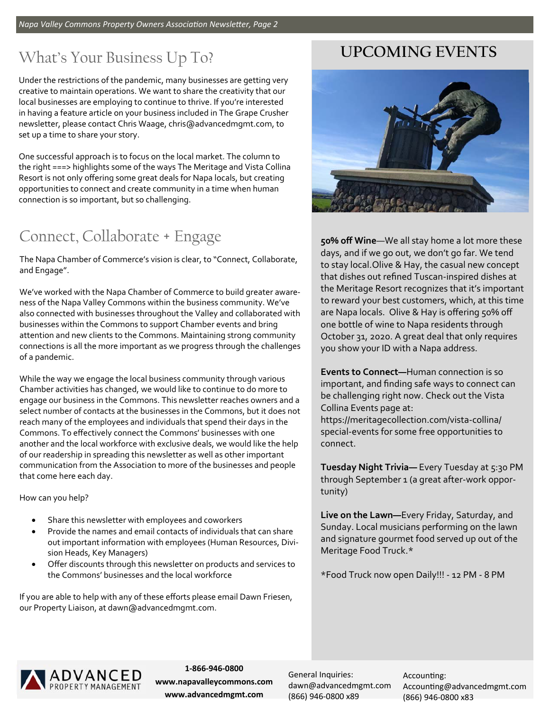### What's Your Business Up To?

Under the restrictions of the pandemic, many businesses are getting very creative to maintain operations. We want to share the creativity that our local businesses are employing to continue to thrive. If you're interested in having a feature article on your business included in The Grape Crusher newsletter, please contact Chris Waage, chris@advancedmgmt.com, to set up a time to share your story.

One successful approach is to focus on the local market. The column to the right ===> highlights some of the ways The Meritage and Vista Collina Resort is not only offering some great deals for Napa locals, but creating opportunities to connect and create community in a time when human connection is so important, but so challenging.

### Connect, Collaborate + Engage

The Napa Chamber of Commerce's vision is clear, to "Connect, Collaborate, and Engage".

We've worked with the Napa Chamber of Commerce to build greater aware‐ ness of the Napa Valley Commons within the business community. We've also connected with businesses throughout the Valley and collaborated with businesses within the Commons to support Chamber events and bring attention and new clients to the Commons. Maintaining strong community connections is all the more important as we progress through the challenges of a pandemic.

While the way we engage the local business community through various Chamber activities has changed, we would like to continue to do more to engage our business in the Commons. This newsletter reaches owners and a select number of contacts at the businesses in the Commons, but it does not reach many of the employees and individuals that spend their days in the Commons. To effectively connect the Commons' businesses with one another and the local workforce with exclusive deals, we would like the help of our readership in spreading this newsletter as well as other important communication from the Association to more of the businesses and people that come here each day.

How can you help?

- Share this newsletter with employees and coworkers
- Provide the names and email contacts of individuals that can share out important information with employees (Human Resources, Divi‐ sion Heads, Key Managers)
- Offer discounts through this newsletter on products and services to the Commons' businesses and the local workforce

If you are able to help with any of these efforts please email Dawn Friesen, our Property Liaison, at dawn@advancedmgmt.com.

### **UPCOMING EVENTS**



**50% off Wine**—We all stay home a lot more these days, and if we go out, we don't go far. We tend to stay local.Olive & Hay, the casual new concept that dishes out refined Tuscan‐inspired dishes at the Meritage Resort recognizes that it's important to reward your best customers, which, at this time are Napa locals. Olive & Hay is offering 50% off one bottle of wine to Napa residents through October 31, 2020. A great deal that only requires you show your ID with a Napa address.

**Events to Connect—**Human connection is so important, and finding safe ways to connect can be challenging right now. Check out the Vista Collina Events page at: https://meritagecollection.com/vista‐collina/ special‐events for some free opportunities to connect.

**Tuesday Night Trivia—** Every Tuesday at 5:30 PM through September 1 (a great after-work opportunity)

**Live on the Lawn—**Every Friday, Saturday, and Sunday. Local musicians performing on the lawn and signature gourmet food served up out of the Meritage Food Truck.\*

\*Food Truck now open Daily!!! ‐ 12 PM ‐ 8 PM



**1‐866‐946‐0800 www.napavalleycommons.com www.advancedmgmt.com** 

General Inquiries: dawn@advancedmgmt.com (866) 946‐0800 x89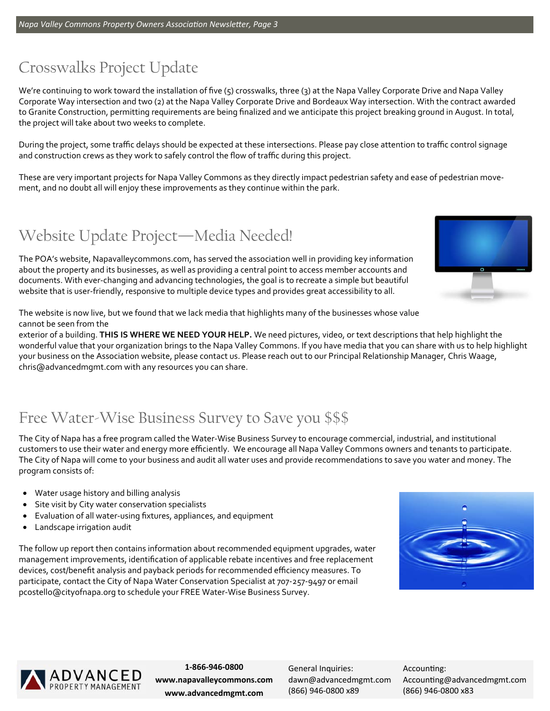### Crosswalks Project Update

We're continuing to work toward the installation of five (5) crosswalks, three (3) at the Napa Valley Corporate Drive and Napa Valley Corporate Way intersection and two (2) at the Napa Valley Corporate Drive and Bordeaux Way intersection. With the contract awarded to Granite Construction, permitting requirements are being finalized and we anticipate this project breaking ground in August. In total, the project will take about two weeks to complete.

During the project, some traffic delays should be expected at these intersections. Please pay close attention to traffic control signage and construction crews as they work to safely control the flow of traffic during this project.

These are very important projects for Napa Valley Commons as they directly impact pedestrian safety and ease of pedestrian move‐ ment, and no doubt all will enjoy these improvements as they continue within the park.

### Website Update Project—Media Needed!

The POA's website, Napavalleycommons.com, has served the association well in providing key information about the property and its businesses, as well as providing a central point to access member accounts and documents. With ever‐changing and advancing technologies, the goal is to recreate a simple but beautiful website that is user-friendly, responsive to multiple device types and provides great accessibility to all.

The website is now live, but we found that we lack media that highlights many of the businesses whose value cannot be seen from the

exterior of a building. **THIS IS WHERE WE NEED YOUR HELP.** We need pictures, video, or text descriptions that help highlight the wonderful value that your organization brings to the Napa Valley Commons. If you have media that you can share with us to help highlight your business on the Association website, please contact us. Please reach out to our Principal Relationship Manager, Chris Waage, chris@advancedmgmt.com with any resources you can share.

### Free Water-Wise Business Survey to Save you \$\$\$

The City of Napa has a free program called the Water‐Wise Business Survey to encourage commercial, industrial, and institutional customers to use their water and energy more efficiently. We encourage all Napa Valley Commons owners and tenants to participate. The City of Napa will come to your business and audit all water uses and provide recommendations to save you water and money. The program consists of:

- Water usage history and billing analysis
- Site visit by City water conservation specialists
- Evaluation of all water‐using fixtures, appliances, and equipment
- Landscape irrigation audit

The follow up report then contains information about recommended equipment upgrades, water management improvements, identification of applicable rebate incentives and free replacement devices, cost/benefit analysis and payback periods for recommended efficiency measures. To participate, contact the City of Napa Water Conservation Specialist at 707‐257‐9497 or email pcostello@cityofnapa.org to schedule your FREE Water‐Wise Business Survey.





**1‐866‐946‐0800 www.napavalleycommons.com www.advancedmgmt.com** 

General Inquiries: dawn@advancedmgmt.com (866) 946‐0800 x89